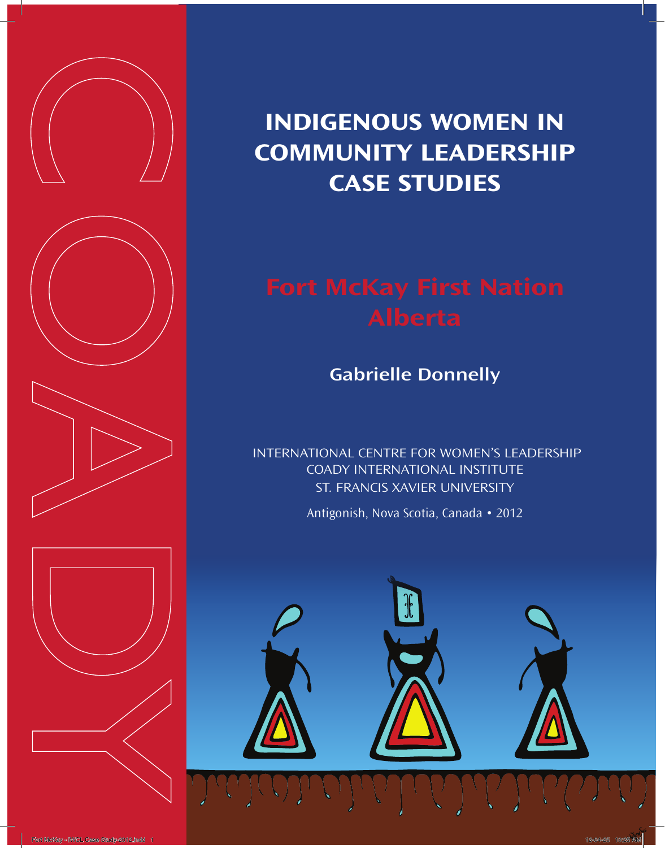

# **Indigenous Women in Community Leadership case studies**

**Gabrielle Donnelly**

 International Centre for Women's Leadership Coady International Institute ST. Francis Xavier University

Antigonish, Nova Scotia, Canada • 2012

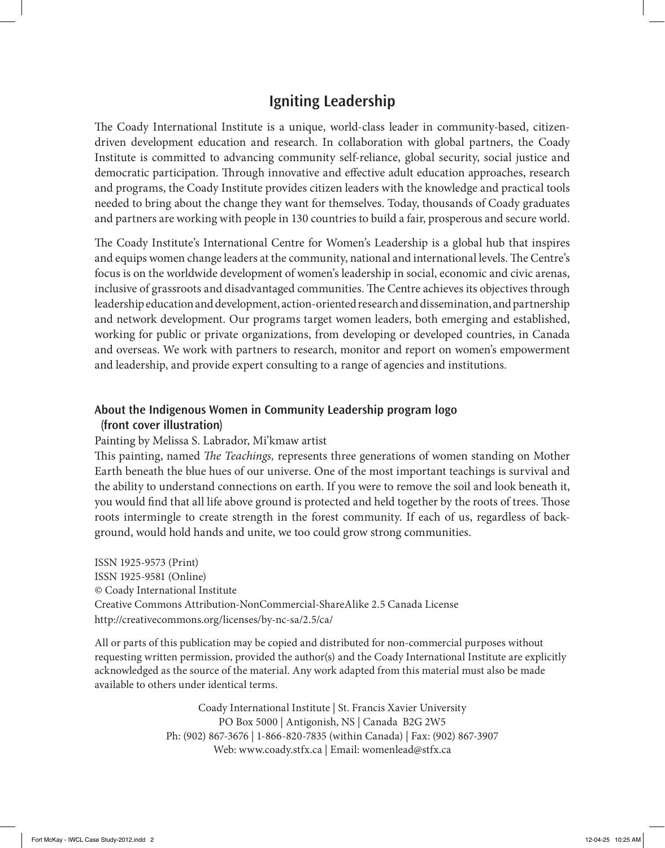## **Igniting Leadership**

The Coady International Institute is a unique, world-class leader in community-based, citizendriven development education and research. In collaboration with global partners, the Coady Institute is committed to advancing community self-reliance, global security, social justice and democratic participation. Through innovative and effective adult education approaches, research and programs, the Coady Institute provides citizen leaders with the knowledge and practical tools needed to bring about the change they want for themselves. Today, thousands of Coady graduates and partners are working with people in 130 countries to build a fair, prosperous and secure world.

The Coady Institute's International Centre for Women's Leadership is a global hub that inspires and equips women change leaders at the community, national and international levels. The Centre's focus is on the worldwide development of women's leadership in social, economic and civic arenas, inclusive of grassroots and disadvantaged communities. The Centre achieves its objectives through leadership education and development, action-oriented research and dissemination, and partnership and network development. Our programs target women leaders, both emerging and established, working for public or private organizations, from developing or developed countries, in Canada and overseas. We work with partners to research, monitor and report on women's empowerment and leadership, and provide expert consulting to a range of agencies and institutions.

### **About the Indigenous Women in Community Leadership program logo (front cover illustration)**

#### Painting by Melissa S. Labrador, Mi'kmaw artist

This painting, named *The Teachings,* represents three generations of women standing on Mother Earth beneath the blue hues of our universe. One of the most important teachings is survival and the ability to understand connections on earth. If you were to remove the soil and look beneath it, you would find that all life above ground is protected and held together by the roots of trees. Those roots intermingle to create strength in the forest community. If each of us, regardless of background, would hold hands and unite, we too could grow strong communities.

ISSN 1925-9573 (Print) ISSN 1925-9581 (Online) © Coady International Institute Creative Commons Attribution-NonCommercial-ShareAlike 2.5 Canada License http://creativecommons.org/licenses/by-nc-sa/2.5/ca/

All or parts of this publication may be copied and distributed for non-commercial purposes without requesting written permission, provided the author(s) and the Coady International Institute are explicitly acknowledged as the source of the material. Any work adapted from this material must also be made available to others under identical terms.

> Coady International Institute | St. Francis Xavier University PO Box 5000 | Antigonish, NS | Canada B2G 2W5 Ph: (902) 867-3676 | 1-866-820-7835 (within Canada) | Fax: (902) 867-3907 Web: www.coady.stfx.ca | Email: womenlead@stfx.ca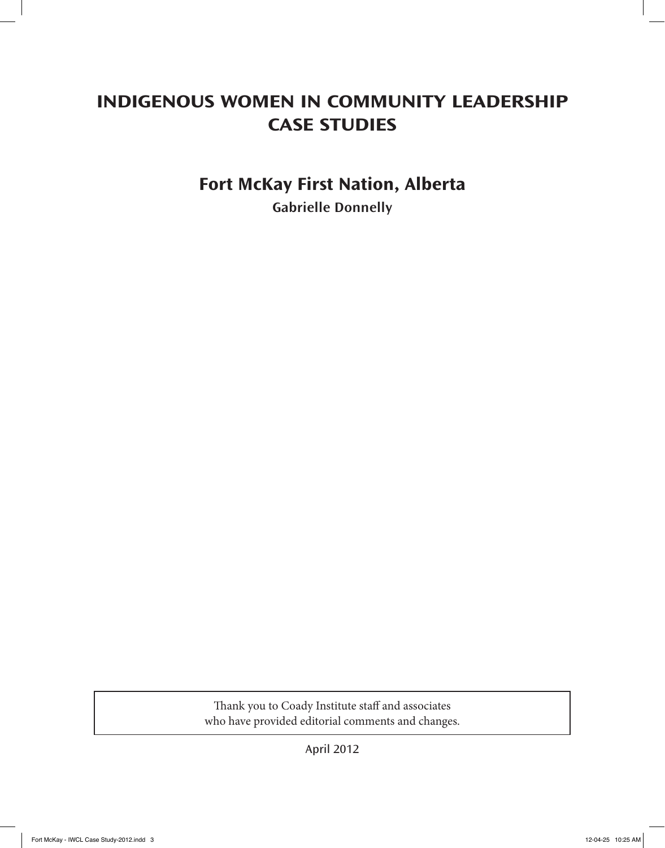## **Indigenous Women in Community Leadership CASE STUDIES**

## **Fort McKay First Nation, Alberta**

**Gabrielle Donnelly**

Thank you to Coady Institute staff and associates who have provided editorial comments and changes.

April 2012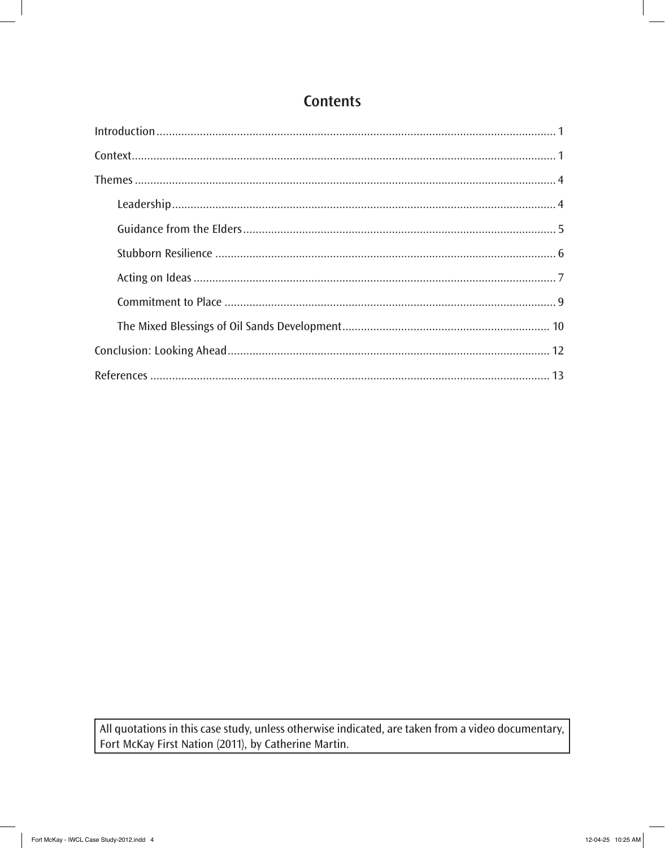## **Contents**

All quotations in this case study, unless otherwise indicated, are taken from a video documentary, Fort McKay First Nation (2011), by Catherine Martin.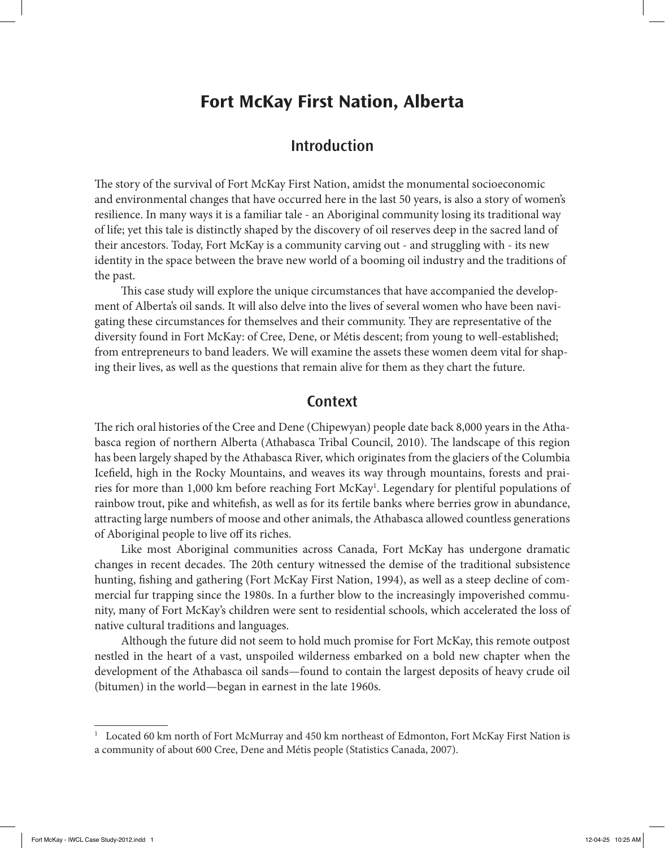## **Fort McKay First Nation, Alberta**

## **Introduction**

The story of the survival of Fort McKay First Nation, amidst the monumental socioeconomic and environmental changes that have occurred here in the last 50 years, is also a story of women's resilience. In many ways it is a familiar tale - an Aboriginal community losing its traditional way of life; yet this tale is distinctly shaped by the discovery of oil reserves deep in the sacred land of their ancestors. Today, Fort McKay is a community carving out - and struggling with - its new identity in the space between the brave new world of a booming oil industry and the traditions of the past.

This case study will explore the unique circumstances that have accompanied the development of Alberta's oil sands. It will also delve into the lives of several women who have been navigating these circumstances for themselves and their community. They are representative of the diversity found in Fort McKay: of Cree, Dene, or Métis descent; from young to well-established; from entrepreneurs to band leaders. We will examine the assets these women deem vital for shaping their lives, as well as the questions that remain alive for them as they chart the future.

### **Context**

The rich oral histories of the Cree and Dene (Chipewyan) people date back 8,000 years in the Athabasca region of northern Alberta (Athabasca Tribal Council, 2010). The landscape of this region has been largely shaped by the Athabasca River, which originates from the glaciers of the Columbia Icefield, high in the Rocky Mountains, and weaves its way through mountains, forests and prairies for more than 1,000 km before reaching Fort McKay<sup>1</sup>. Legendary for plentiful populations of rainbow trout, pike and whitefish, as well as for its fertile banks where berries grow in abundance, attracting large numbers of moose and other animals, the Athabasca allowed countless generations of Aboriginal people to live off its riches.

Like most Aboriginal communities across Canada, Fort McKay has undergone dramatic changes in recent decades. The 20th century witnessed the demise of the traditional subsistence hunting, fishing and gathering (Fort McKay First Nation, 1994), as well as a steep decline of commercial fur trapping since the 1980s. In a further blow to the increasingly impoverished community, many of Fort McKay's children were sent to residential schools, which accelerated the loss of native cultural traditions and languages.

Although the future did not seem to hold much promise for Fort McKay, this remote outpost nestled in the heart of a vast, unspoiled wilderness embarked on a bold new chapter when the development of the Athabasca oil sands—found to contain the largest deposits of heavy crude oil (bitumen) in the world—began in earnest in the late 1960s.

<sup>&</sup>lt;sup>1</sup> Located 60 km north of Fort McMurray and 450 km northeast of Edmonton, Fort McKay First Nation is a community of about 600 Cree, Dene and Métis people (Statistics Canada, 2007).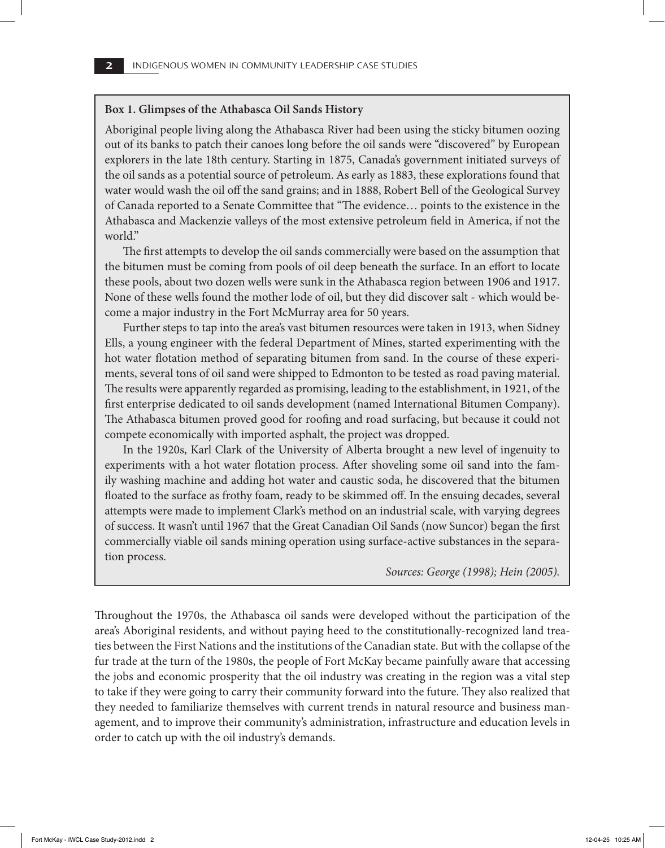#### **Box 1. Glimpses of the Athabasca Oil Sands History**

Aboriginal people living along the Athabasca River had been using the sticky bitumen oozing out of its banks to patch their canoes long before the oil sands were "discovered" by European explorers in the late 18th century. Starting in 1875, Canada's government initiated surveys of the oil sands as a potential source of petroleum. As early as 1883, these explorations found that water would wash the oil off the sand grains; and in 1888, Robert Bell of the Geological Survey of Canada reported to a Senate Committee that "The evidence… points to the existence in the Athabasca and Mackenzie valleys of the most extensive petroleum field in America, if not the world."

The first attempts to develop the oil sands commercially were based on the assumption that the bitumen must be coming from pools of oil deep beneath the surface. In an effort to locate these pools, about two dozen wells were sunk in the Athabasca region between 1906 and 1917. None of these wells found the mother lode of oil, but they did discover salt - which would become a major industry in the Fort McMurray area for 50 years.

Further steps to tap into the area's vast bitumen resources were taken in 1913, when Sidney Ells, a young engineer with the federal Department of Mines, started experimenting with the hot water flotation method of separating bitumen from sand. In the course of these experiments, several tons of oil sand were shipped to Edmonton to be tested as road paving material. The results were apparently regarded as promising, leading to the establishment, in 1921, of the first enterprise dedicated to oil sands development (named International Bitumen Company). The Athabasca bitumen proved good for roofing and road surfacing, but because it could not compete economically with imported asphalt, the project was dropped.

In the 1920s, Karl Clark of the University of Alberta brought a new level of ingenuity to experiments with a hot water flotation process. After shoveling some oil sand into the family washing machine and adding hot water and caustic soda, he discovered that the bitumen floated to the surface as frothy foam, ready to be skimmed off. In the ensuing decades, several attempts were made to implement Clark's method on an industrial scale, with varying degrees of success. It wasn't until 1967 that the Great Canadian Oil Sands (now Suncor) began the first commercially viable oil sands mining operation using surface-active substances in the separation process.

*Sources: George (1998); Hein (2005).*

Throughout the 1970s, the Athabasca oil sands were developed without the participation of the area's Aboriginal residents, and without paying heed to the constitutionally-recognized land treaties between the First Nations and the institutions of the Canadian state. But with the collapse of the fur trade at the turn of the 1980s, the people of Fort McKay became painfully aware that accessing the jobs and economic prosperity that the oil industry was creating in the region was a vital step to take if they were going to carry their community forward into the future. They also realized that they needed to familiarize themselves with current trends in natural resource and business management, and to improve their community's administration, infrastructure and education levels in order to catch up with the oil industry's demands.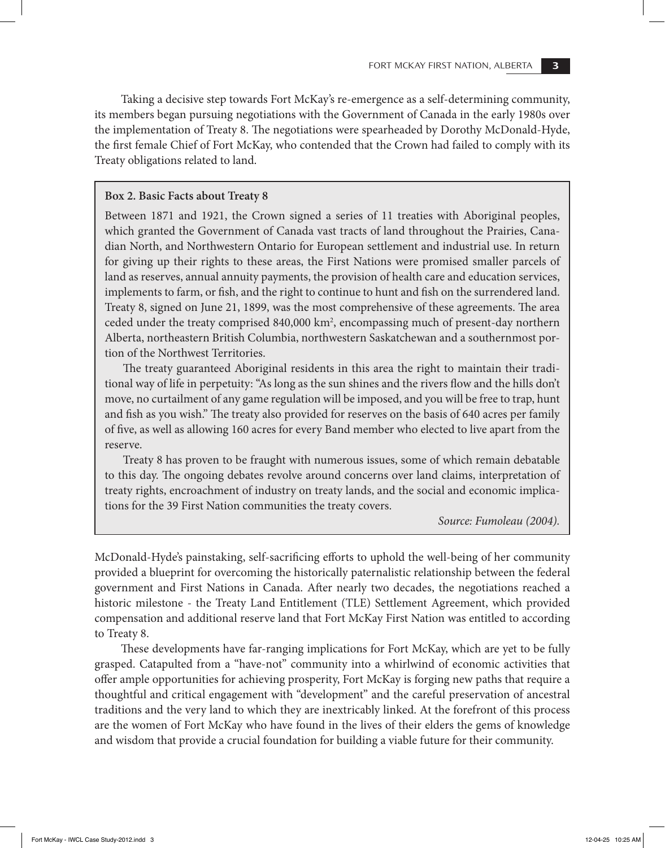Taking a decisive step towards Fort McKay's re-emergence as a self-determining community, its members began pursuing negotiations with the Government of Canada in the early 1980s over the implementation of Treaty 8. The negotiations were spearheaded by Dorothy McDonald-Hyde, the first female Chief of Fort McKay, who contended that the Crown had failed to comply with its Treaty obligations related to land.

#### **Box 2. Basic Facts about Treaty 8**

Between 1871 and 1921, the Crown signed a series of 11 treaties with Aboriginal peoples, which granted the Government of Canada vast tracts of land throughout the Prairies, Canadian North, and Northwestern Ontario for European settlement and industrial use. In return for giving up their rights to these areas, the First Nations were promised smaller parcels of land as reserves, annual annuity payments, the provision of health care and education services, implements to farm, or fish, and the right to continue to hunt and fish on the surrendered land. Treaty 8, signed on June 21, 1899, was the most comprehensive of these agreements. The area ceded under the treaty comprised 840,000 km<sup>2</sup>, encompassing much of present-day northern Alberta, northeastern British Columbia, northwestern Saskatchewan and a southernmost portion of the Northwest Territories.

The treaty guaranteed Aboriginal residents in this area the right to maintain their traditional way of life in perpetuity: "As long as the sun shines and the rivers flow and the hills don't move, no curtailment of any game regulation will be imposed, and you will be free to trap, hunt and fish as you wish." The treaty also provided for reserves on the basis of 640 acres per family of five, as well as allowing 160 acres for every Band member who elected to live apart from the reserve.

Treaty 8 has proven to be fraught with numerous issues, some of which remain debatable to this day. The ongoing debates revolve around concerns over land claims, interpretation of treaty rights, encroachment of industry on treaty lands, and the social and economic implications for the 39 First Nation communities the treaty covers.

*Source: Fumoleau (2004).*

McDonald-Hyde's painstaking, self-sacrificing efforts to uphold the well-being of her community provided a blueprint for overcoming the historically paternalistic relationship between the federal government and First Nations in Canada. After nearly two decades, the negotiations reached a historic milestone - the Treaty Land Entitlement (TLE) Settlement Agreement, which provided compensation and additional reserve land that Fort McKay First Nation was entitled to according to Treaty 8.

These developments have far-ranging implications for Fort McKay, which are yet to be fully grasped. Catapulted from a "have-not" community into a whirlwind of economic activities that offer ample opportunities for achieving prosperity, Fort McKay is forging new paths that require a thoughtful and critical engagement with "development" and the careful preservation of ancestral traditions and the very land to which they are inextricably linked. At the forefront of this process are the women of Fort McKay who have found in the lives of their elders the gems of knowledge and wisdom that provide a crucial foundation for building a viable future for their community.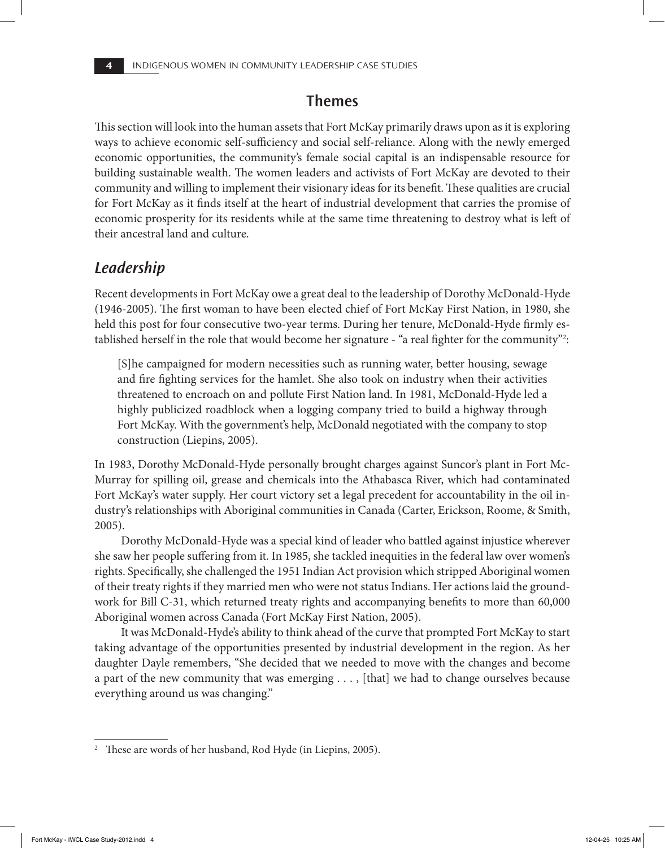## **Themes**

This section will look into the human assets that Fort McKay primarily draws upon as it is exploring ways to achieve economic self-sufficiency and social self-reliance. Along with the newly emerged economic opportunities, the community's female social capital is an indispensable resource for building sustainable wealth. The women leaders and activists of Fort McKay are devoted to their community and willing to implement their visionary ideas for its benefit. These qualities are crucial for Fort McKay as it finds itself at the heart of industrial development that carries the promise of economic prosperity for its residents while at the same time threatening to destroy what is left of their ancestral land and culture.

## *Leadership*

Recent developments in Fort McKay owe a great deal to the leadership of Dorothy McDonald-Hyde (1946-2005). The first woman to have been elected chief of Fort McKay First Nation, in 1980, she held this post for four consecutive two-year terms. During her tenure, McDonald-Hyde firmly established herself in the role that would become her signature - "a real fighter for the community"2 :

[S]he campaigned for modern necessities such as running water, better housing, sewage and fire fighting services for the hamlet. She also took on industry when their activities threatened to encroach on and pollute First Nation land. In 1981, McDonald-Hyde led a highly publicized roadblock when a logging company tried to build a highway through Fort McKay. With the government's help, McDonald negotiated with the company to stop construction (Liepins, 2005).

In 1983, Dorothy McDonald-Hyde personally brought charges against Suncor's plant in Fort Mc-Murray for spilling oil, grease and chemicals into the Athabasca River, which had contaminated Fort McKay's water supply. Her court victory set a legal precedent for accountability in the oil industry's relationships with Aboriginal communities in Canada (Carter, Erickson, Roome, & Smith, 2005).

Dorothy McDonald-Hyde was a special kind of leader who battled against injustice wherever she saw her people suffering from it. In 1985, she tackled inequities in the federal law over women's rights. Specifically, she challenged the 1951 Indian Act provision which stripped Aboriginal women of their treaty rights if they married men who were not status Indians. Her actions laid the groundwork for Bill C-31, which returned treaty rights and accompanying benefits to more than 60,000 Aboriginal women across Canada (Fort McKay First Nation, 2005).

It was McDonald-Hyde's ability to think ahead of the curve that prompted Fort McKay to start taking advantage of the opportunities presented by industrial development in the region. As her daughter Dayle remembers, "She decided that we needed to move with the changes and become a part of the new community that was emerging . . . , [that] we had to change ourselves because everything around us was changing."

<sup>&</sup>lt;sup>2</sup> These are words of her husband, Rod Hyde (in Liepins, 2005).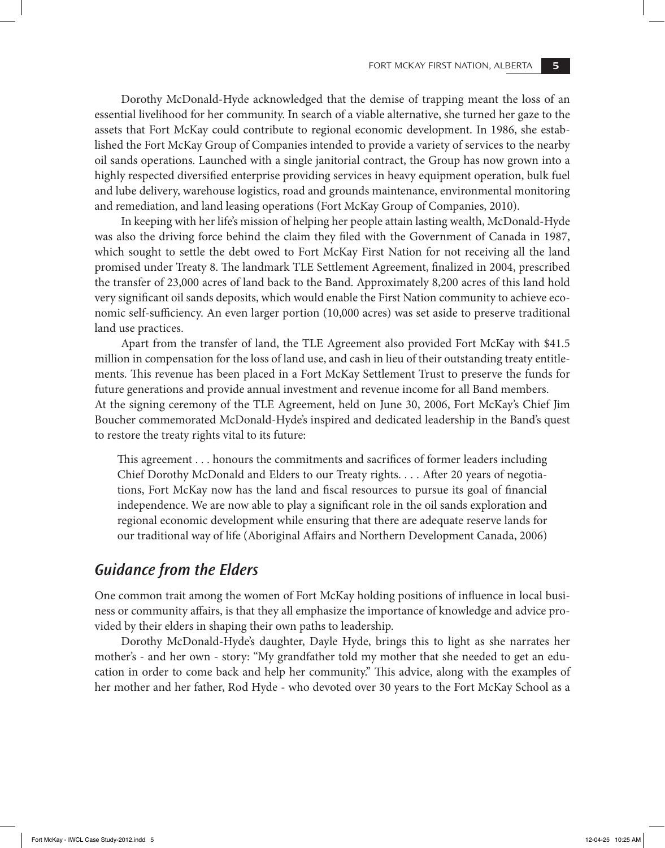Dorothy McDonald-Hyde acknowledged that the demise of trapping meant the loss of an essential livelihood for her community. In search of a viable alternative, she turned her gaze to the assets that Fort McKay could contribute to regional economic development. In 1986, she established the Fort McKay Group of Companies intended to provide a variety of services to the nearby oil sands operations. Launched with a single janitorial contract, the Group has now grown into a highly respected diversified enterprise providing services in heavy equipment operation, bulk fuel and lube delivery, warehouse logistics, road and grounds maintenance, environmental monitoring and remediation, and land leasing operations (Fort McKay Group of Companies, 2010).

In keeping with her life's mission of helping her people attain lasting wealth, McDonald-Hyde was also the driving force behind the claim they filed with the Government of Canada in 1987, which sought to settle the debt owed to Fort McKay First Nation for not receiving all the land promised under Treaty 8. The landmark TLE Settlement Agreement, finalized in 2004, prescribed the transfer of 23,000 acres of land back to the Band. Approximately 8,200 acres of this land hold very significant oil sands deposits, which would enable the First Nation community to achieve economic self-sufficiency. An even larger portion (10,000 acres) was set aside to preserve traditional land use practices.

Apart from the transfer of land, the TLE Agreement also provided Fort McKay with \$41.5 million in compensation for the loss of land use, and cash in lieu of their outstanding treaty entitlements. This revenue has been placed in a Fort McKay Settlement Trust to preserve the funds for future generations and provide annual investment and revenue income for all Band members. At the signing ceremony of the TLE Agreement, held on June 30, 2006, Fort McKay's Chief Jim Boucher commemorated McDonald-Hyde's inspired and dedicated leadership in the Band's quest to restore the treaty rights vital to its future:

This agreement . . . honours the commitments and sacrifices of former leaders including Chief Dorothy McDonald and Elders to our Treaty rights. . . . After 20 years of negotiations, Fort McKay now has the land and fiscal resources to pursue its goal of financial independence. We are now able to play a significant role in the oil sands exploration and regional economic development while ensuring that there are adequate reserve lands for our traditional way of life (Aboriginal Affairs and Northern Development Canada, 2006)

## *Guidance from the Elders*

One common trait among the women of Fort McKay holding positions of influence in local business or community affairs, is that they all emphasize the importance of knowledge and advice provided by their elders in shaping their own paths to leadership.

Dorothy McDonald-Hyde's daughter, Dayle Hyde, brings this to light as she narrates her mother's - and her own - story: "My grandfather told my mother that she needed to get an education in order to come back and help her community." This advice, along with the examples of her mother and her father, Rod Hyde - who devoted over 30 years to the Fort McKay School as a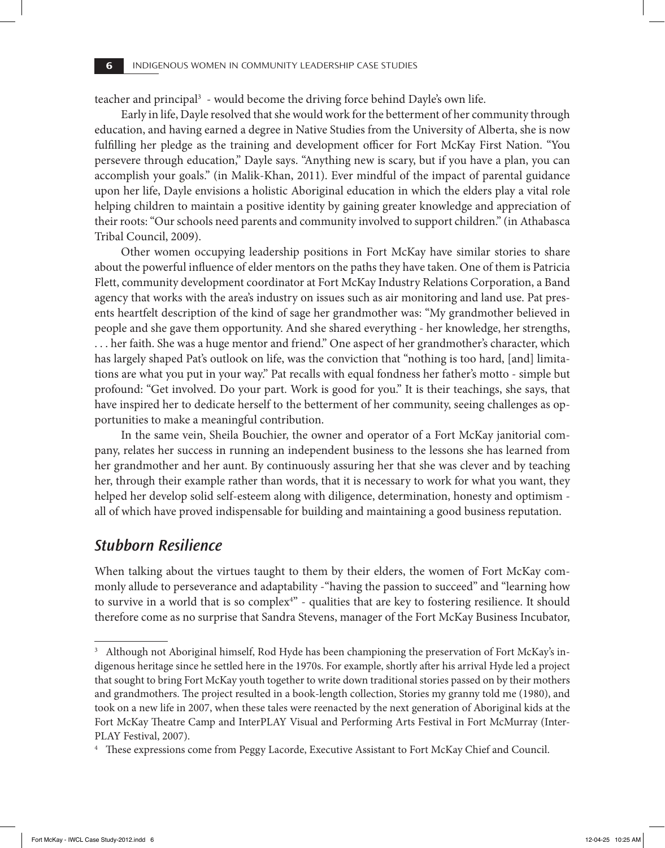teacher and principal<sup>3</sup> - would become the driving force behind Dayle's own life.

Early in life, Dayle resolved that she would work for the betterment of her community through education, and having earned a degree in Native Studies from the University of Alberta, she is now fulfilling her pledge as the training and development officer for Fort McKay First Nation. "You persevere through education," Dayle says. "Anything new is scary, but if you have a plan, you can accomplish your goals." (in Malik-Khan, 2011). Ever mindful of the impact of parental guidance upon her life, Dayle envisions a holistic Aboriginal education in which the elders play a vital role helping children to maintain a positive identity by gaining greater knowledge and appreciation of their roots: "Our schools need parents and community involved to support children." (in Athabasca Tribal Council, 2009).

Other women occupying leadership positions in Fort McKay have similar stories to share about the powerful influence of elder mentors on the paths they have taken. One of them is Patricia Flett, community development coordinator at Fort McKay Industry Relations Corporation, a Band agency that works with the area's industry on issues such as air monitoring and land use. Pat presents heartfelt description of the kind of sage her grandmother was: "My grandmother believed in people and she gave them opportunity. And she shared everything - her knowledge, her strengths, . . . her faith. She was a huge mentor and friend." One aspect of her grandmother's character, which has largely shaped Pat's outlook on life, was the conviction that "nothing is too hard, [and] limitations are what you put in your way." Pat recalls with equal fondness her father's motto - simple but profound: "Get involved. Do your part. Work is good for you." It is their teachings, she says, that have inspired her to dedicate herself to the betterment of her community, seeing challenges as opportunities to make a meaningful contribution.

In the same vein, Sheila Bouchier, the owner and operator of a Fort McKay janitorial company, relates her success in running an independent business to the lessons she has learned from her grandmother and her aunt. By continuously assuring her that she was clever and by teaching her, through their example rather than words, that it is necessary to work for what you want, they helped her develop solid self-esteem along with diligence, determination, honesty and optimism all of which have proved indispensable for building and maintaining a good business reputation.

## *Stubborn Resilience*

When talking about the virtues taught to them by their elders, the women of Fort McKay commonly allude to perseverance and adaptability -"having the passion to succeed" and "learning how to survive in a world that is so complex<sup>4</sup>" - qualities that are key to fostering resilience. It should therefore come as no surprise that Sandra Stevens, manager of the Fort McKay Business Incubator,

<sup>&</sup>lt;sup>3</sup> Although not Aboriginal himself, Rod Hyde has been championing the preservation of Fort McKay's indigenous heritage since he settled here in the 1970s. For example, shortly after his arrival Hyde led a project that sought to bring Fort McKay youth together to write down traditional stories passed on by their mothers and grandmothers. The project resulted in a book-length collection, Stories my granny told me (1980), and took on a new life in 2007, when these tales were reenacted by the next generation of Aboriginal kids at the Fort McKay Theatre Camp and InterPLAY Visual and Performing Arts Festival in Fort McMurray (Inter-PLAY Festival, 2007).

<sup>&</sup>lt;sup>4</sup> These expressions come from Peggy Lacorde, Executive Assistant to Fort McKay Chief and Council.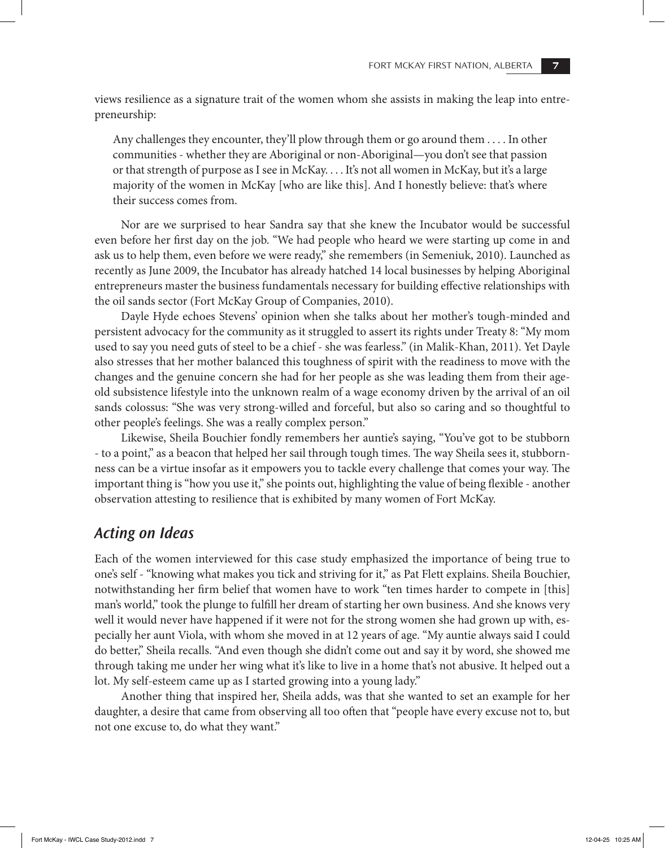views resilience as a signature trait of the women whom she assists in making the leap into entrepreneurship:

Any challenges they encounter, they'll plow through them or go around them . . . . In other communities - whether they are Aboriginal or non-Aboriginal—you don't see that passion or that strength of purpose as I see in McKay. . . . It's not all women in McKay, but it's a large majority of the women in McKay [who are like this]. And I honestly believe: that's where their success comes from.

Nor are we surprised to hear Sandra say that she knew the Incubator would be successful even before her first day on the job. "We had people who heard we were starting up come in and ask us to help them, even before we were ready," she remembers (in Semeniuk, 2010). Launched as recently as June 2009, the Incubator has already hatched 14 local businesses by helping Aboriginal entrepreneurs master the business fundamentals necessary for building effective relationships with the oil sands sector (Fort McKay Group of Companies, 2010).

Dayle Hyde echoes Stevens' opinion when she talks about her mother's tough-minded and persistent advocacy for the community as it struggled to assert its rights under Treaty 8: "My mom used to say you need guts of steel to be a chief - she was fearless." (in Malik-Khan, 2011). Yet Dayle also stresses that her mother balanced this toughness of spirit with the readiness to move with the changes and the genuine concern she had for her people as she was leading them from their ageold subsistence lifestyle into the unknown realm of a wage economy driven by the arrival of an oil sands colossus: "She was very strong-willed and forceful, but also so caring and so thoughtful to other people's feelings. She was a really complex person."

Likewise, Sheila Bouchier fondly remembers her auntie's saying, "You've got to be stubborn - to a point," as a beacon that helped her sail through tough times. The way Sheila sees it, stubbornness can be a virtue insofar as it empowers you to tackle every challenge that comes your way. The important thing is "how you use it," she points out, highlighting the value of being flexible - another observation attesting to resilience that is exhibited by many women of Fort McKay.

## *Acting on Ideas*

Each of the women interviewed for this case study emphasized the importance of being true to one's self - "knowing what makes you tick and striving for it," as Pat Flett explains. Sheila Bouchier, notwithstanding her firm belief that women have to work "ten times harder to compete in [this] man's world," took the plunge to fulfill her dream of starting her own business. And she knows very well it would never have happened if it were not for the strong women she had grown up with, especially her aunt Viola, with whom she moved in at 12 years of age. "My auntie always said I could do better," Sheila recalls. "And even though she didn't come out and say it by word, she showed me through taking me under her wing what it's like to live in a home that's not abusive. It helped out a lot. My self-esteem came up as I started growing into a young lady."

Another thing that inspired her, Sheila adds, was that she wanted to set an example for her daughter, a desire that came from observing all too often that "people have every excuse not to, but not one excuse to, do what they want."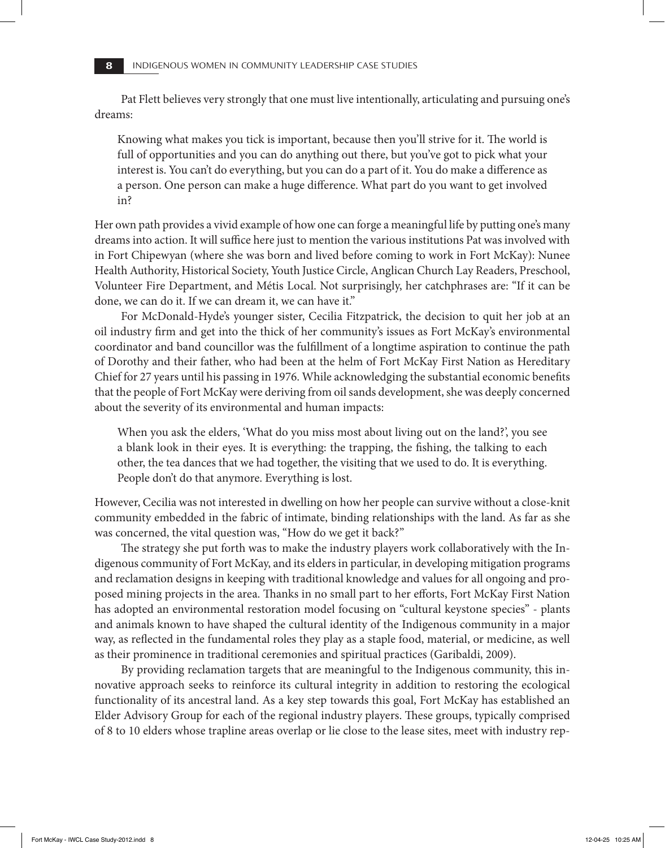Pat Flett believes very strongly that one must live intentionally, articulating and pursuing one's dreams:

Knowing what makes you tick is important, because then you'll strive for it. The world is full of opportunities and you can do anything out there, but you've got to pick what your interest is. You can't do everything, but you can do a part of it. You do make a difference as a person. One person can make a huge difference. What part do you want to get involved in?

Her own path provides a vivid example of how one can forge a meaningful life by putting one's many dreams into action. It will suffice here just to mention the various institutions Pat was involved with in Fort Chipewyan (where she was born and lived before coming to work in Fort McKay): Nunee Health Authority, Historical Society, Youth Justice Circle, Anglican Church Lay Readers, Preschool, Volunteer Fire Department, and Métis Local. Not surprisingly, her catchphrases are: "If it can be done, we can do it. If we can dream it, we can have it."

For McDonald-Hyde's younger sister, Cecilia Fitzpatrick, the decision to quit her job at an oil industry firm and get into the thick of her community's issues as Fort McKay's environmental coordinator and band councillor was the fulfillment of a longtime aspiration to continue the path of Dorothy and their father, who had been at the helm of Fort McKay First Nation as Hereditary Chief for 27 years until his passing in 1976. While acknowledging the substantial economic benefits that the people of Fort McKay were deriving from oil sands development, she was deeply concerned about the severity of its environmental and human impacts:

When you ask the elders, 'What do you miss most about living out on the land?', you see a blank look in their eyes. It is everything: the trapping, the fishing, the talking to each other, the tea dances that we had together, the visiting that we used to do. It is everything. People don't do that anymore. Everything is lost.

However, Cecilia was not interested in dwelling on how her people can survive without a close-knit community embedded in the fabric of intimate, binding relationships with the land. As far as she was concerned, the vital question was, "How do we get it back?"

The strategy she put forth was to make the industry players work collaboratively with the Indigenous community of Fort McKay, and its elders in particular, in developing mitigation programs and reclamation designs in keeping with traditional knowledge and values for all ongoing and proposed mining projects in the area. Thanks in no small part to her efforts, Fort McKay First Nation has adopted an environmental restoration model focusing on "cultural keystone species" - plants and animals known to have shaped the cultural identity of the Indigenous community in a major way, as reflected in the fundamental roles they play as a staple food, material, or medicine, as well as their prominence in traditional ceremonies and spiritual practices (Garibaldi, 2009).

By providing reclamation targets that are meaningful to the Indigenous community, this innovative approach seeks to reinforce its cultural integrity in addition to restoring the ecological functionality of its ancestral land. As a key step towards this goal, Fort McKay has established an Elder Advisory Group for each of the regional industry players. These groups, typically comprised of 8 to 10 elders whose trapline areas overlap or lie close to the lease sites, meet with industry rep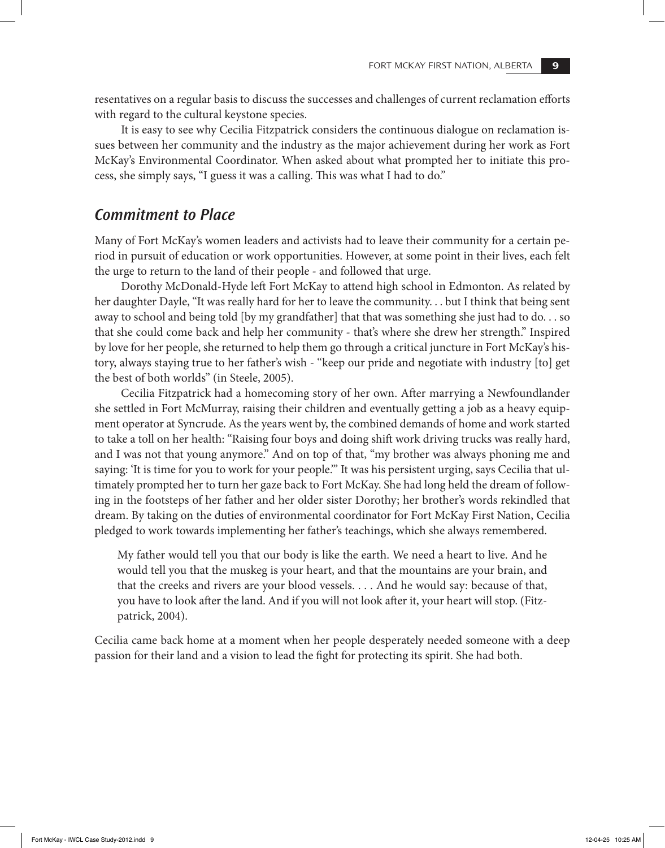resentatives on a regular basis to discuss the successes and challenges of current reclamation efforts with regard to the cultural keystone species.

It is easy to see why Cecilia Fitzpatrick considers the continuous dialogue on reclamation issues between her community and the industry as the major achievement during her work as Fort McKay's Environmental Coordinator. When asked about what prompted her to initiate this process, she simply says, "I guess it was a calling. This was what I had to do."

### *Commitment to Place*

Many of Fort McKay's women leaders and activists had to leave their community for a certain period in pursuit of education or work opportunities. However, at some point in their lives, each felt the urge to return to the land of their people - and followed that urge.

Dorothy McDonald-Hyde left Fort McKay to attend high school in Edmonton. As related by her daughter Dayle, "It was really hard for her to leave the community. . . but I think that being sent away to school and being told [by my grandfather] that that was something she just had to do. . . so that she could come back and help her community - that's where she drew her strength." Inspired by love for her people, she returned to help them go through a critical juncture in Fort McKay's history, always staying true to her father's wish - "keep our pride and negotiate with industry [to] get the best of both worlds" (in Steele, 2005).

Cecilia Fitzpatrick had a homecoming story of her own. After marrying a Newfoundlander she settled in Fort McMurray, raising their children and eventually getting a job as a heavy equipment operator at Syncrude. As the years went by, the combined demands of home and work started to take a toll on her health: "Raising four boys and doing shift work driving trucks was really hard, and I was not that young anymore." And on top of that, "my brother was always phoning me and saying: 'It is time for you to work for your people.'" It was his persistent urging, says Cecilia that ultimately prompted her to turn her gaze back to Fort McKay. She had long held the dream of following in the footsteps of her father and her older sister Dorothy; her brother's words rekindled that dream. By taking on the duties of environmental coordinator for Fort McKay First Nation, Cecilia pledged to work towards implementing her father's teachings, which she always remembered.

My father would tell you that our body is like the earth. We need a heart to live. And he would tell you that the muskeg is your heart, and that the mountains are your brain, and that the creeks and rivers are your blood vessels. . . . And he would say: because of that, you have to look after the land. And if you will not look after it, your heart will stop. (Fitzpatrick, 2004).

Cecilia came back home at a moment when her people desperately needed someone with a deep passion for their land and a vision to lead the fight for protecting its spirit. She had both.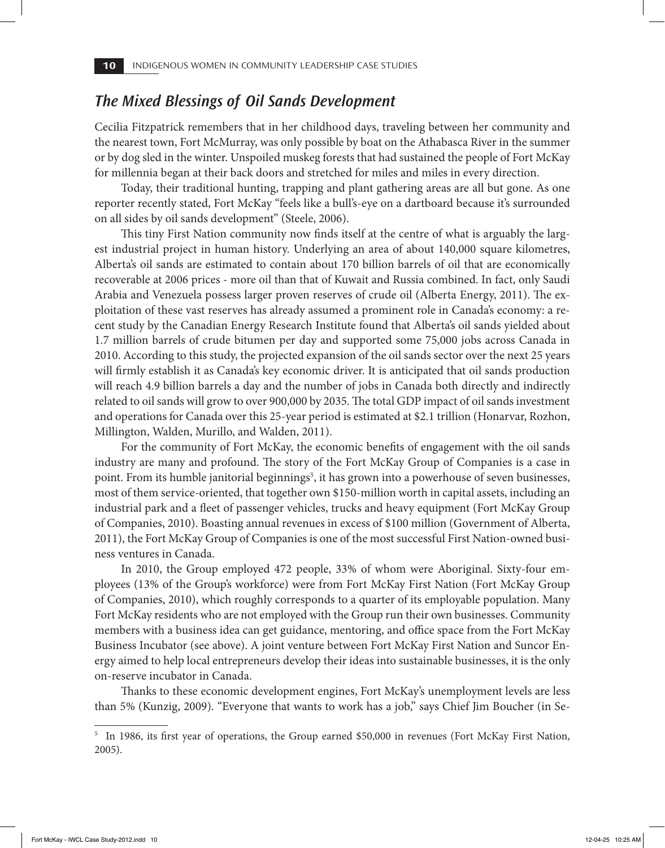## *The Mixed Blessings of Oil Sands Development*

Cecilia Fitzpatrick remembers that in her childhood days, traveling between her community and the nearest town, Fort McMurray, was only possible by boat on the Athabasca River in the summer or by dog sled in the winter. Unspoiled muskeg forests that had sustained the people of Fort McKay for millennia began at their back doors and stretched for miles and miles in every direction.

Today, their traditional hunting, trapping and plant gathering areas are all but gone. As one reporter recently stated, Fort McKay "feels like a bull's-eye on a dartboard because it's surrounded on all sides by oil sands development" (Steele, 2006).

This tiny First Nation community now finds itself at the centre of what is arguably the largest industrial project in human history. Underlying an area of about 140,000 square kilometres, Alberta's oil sands are estimated to contain about 170 billion barrels of oil that are economically recoverable at 2006 prices - more oil than that of Kuwait and Russia combined. In fact, only Saudi Arabia and Venezuela possess larger proven reserves of crude oil (Alberta Energy, 2011). The exploitation of these vast reserves has already assumed a prominent role in Canada's economy: a recent study by the Canadian Energy Research Institute found that Alberta's oil sands yielded about 1.7 million barrels of crude bitumen per day and supported some 75,000 jobs across Canada in 2010. According to this study, the projected expansion of the oil sands sector over the next 25 years will firmly establish it as Canada's key economic driver. It is anticipated that oil sands production will reach 4.9 billion barrels a day and the number of jobs in Canada both directly and indirectly related to oil sands will grow to over 900,000 by 2035. The total GDP impact of oil sands investment and operations for Canada over this 25-year period is estimated at \$2.1 trillion (Honarvar, Rozhon, Millington, Walden, Murillo, and Walden, 2011).

For the community of Fort McKay, the economic benefits of engagement with the oil sands industry are many and profound. The story of the Fort McKay Group of Companies is a case in point. From its humble janitorial beginnings<sup>5</sup>, it has grown into a powerhouse of seven businesses, most of them service-oriented, that together own \$150-million worth in capital assets, including an industrial park and a fleet of passenger vehicles, trucks and heavy equipment (Fort McKay Group of Companies, 2010). Boasting annual revenues in excess of \$100 million (Government of Alberta, 2011), the Fort McKay Group of Companies is one of the most successful First Nation-owned business ventures in Canada.

In 2010, the Group employed 472 people, 33% of whom were Aboriginal. Sixty-four employees (13% of the Group's workforce) were from Fort McKay First Nation (Fort McKay Group of Companies, 2010), which roughly corresponds to a quarter of its employable population. Many Fort McKay residents who are not employed with the Group run their own businesses. Community members with a business idea can get guidance, mentoring, and office space from the Fort McKay Business Incubator (see above). A joint venture between Fort McKay First Nation and Suncor Energy aimed to help local entrepreneurs develop their ideas into sustainable businesses, it is the only on-reserve incubator in Canada.

Thanks to these economic development engines, Fort McKay's unemployment levels are less than 5% (Kunzig, 2009). "Everyone that wants to work has a job," says Chief Jim Boucher (in Se-

<sup>&</sup>lt;sup>5</sup> In 1986, its first year of operations, the Group earned \$50,000 in revenues (Fort McKay First Nation, 2005).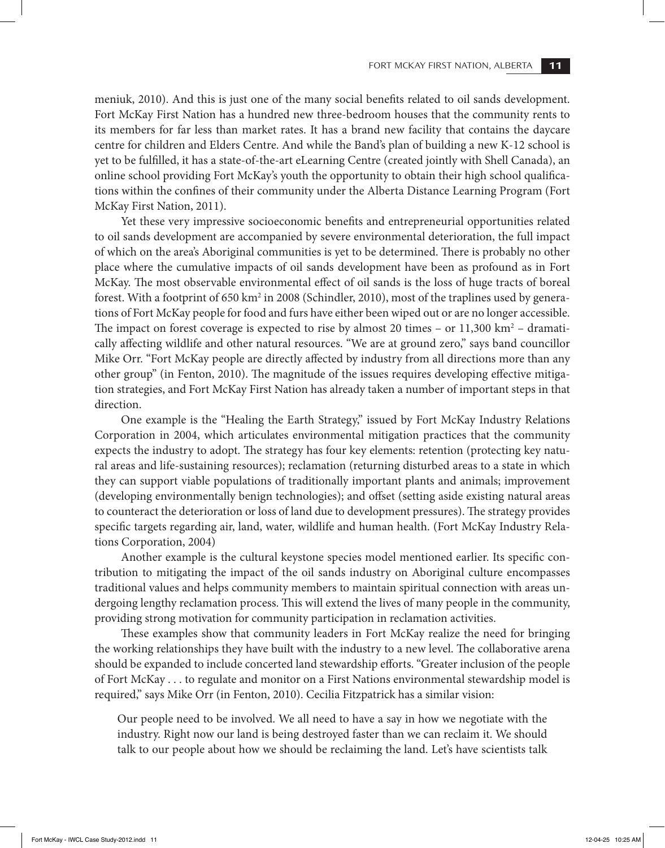FORT MCKAY FIRST NATION, ALBERTA **11**

meniuk, 2010). And this is just one of the many social benefits related to oil sands development. Fort McKay First Nation has a hundred new three-bedroom houses that the community rents to its members for far less than market rates. It has a brand new facility that contains the daycare centre for children and Elders Centre. And while the Band's plan of building a new K-12 school is yet to be fulfilled, it has a state-of-the-art eLearning Centre (created jointly with Shell Canada), an online school providing Fort McKay's youth the opportunity to obtain their high school qualifications within the confines of their community under the Alberta Distance Learning Program (Fort McKay First Nation, 2011).

Yet these very impressive socioeconomic benefits and entrepreneurial opportunities related to oil sands development are accompanied by severe environmental deterioration, the full impact of which on the area's Aboriginal communities is yet to be determined. There is probably no other place where the cumulative impacts of oil sands development have been as profound as in Fort McKay. The most observable environmental effect of oil sands is the loss of huge tracts of boreal forest. With a footprint of 650 km<sup>2</sup> in 2008 (Schindler, 2010), most of the traplines used by generations of Fort McKay people for food and furs have either been wiped out or are no longer accessible. The impact on forest coverage is expected to rise by almost 20 times – or  $11,300 \text{ km}^2$  – dramatically affecting wildlife and other natural resources. "We are at ground zero," says band councillor Mike Orr. "Fort McKay people are directly affected by industry from all directions more than any other group" (in Fenton, 2010). The magnitude of the issues requires developing effective mitigation strategies, and Fort McKay First Nation has already taken a number of important steps in that direction.

One example is the "Healing the Earth Strategy," issued by Fort McKay Industry Relations Corporation in 2004, which articulates environmental mitigation practices that the community expects the industry to adopt. The strategy has four key elements: retention (protecting key natural areas and life-sustaining resources); reclamation (returning disturbed areas to a state in which they can support viable populations of traditionally important plants and animals; improvement (developing environmentally benign technologies); and offset (setting aside existing natural areas to counteract the deterioration or loss of land due to development pressures). The strategy provides specific targets regarding air, land, water, wildlife and human health. (Fort McKay Industry Relations Corporation, 2004)

Another example is the cultural keystone species model mentioned earlier. Its specific contribution to mitigating the impact of the oil sands industry on Aboriginal culture encompasses traditional values and helps community members to maintain spiritual connection with areas undergoing lengthy reclamation process. This will extend the lives of many people in the community, providing strong motivation for community participation in reclamation activities.

These examples show that community leaders in Fort McKay realize the need for bringing the working relationships they have built with the industry to a new level. The collaborative arena should be expanded to include concerted land stewardship efforts. "Greater inclusion of the people of Fort McKay . . . to regulate and monitor on a First Nations environmental stewardship model is required," says Mike Orr (in Fenton, 2010). Cecilia Fitzpatrick has a similar vision:

Our people need to be involved. We all need to have a say in how we negotiate with the industry. Right now our land is being destroyed faster than we can reclaim it. We should talk to our people about how we should be reclaiming the land. Let's have scientists talk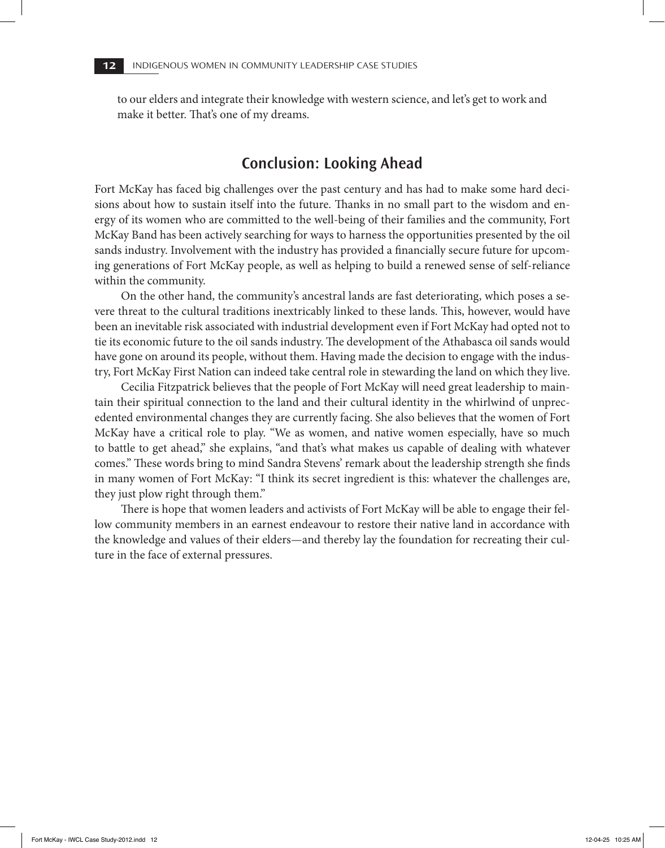to our elders and integrate their knowledge with western science, and let's get to work and make it better. That's one of my dreams.

## **Conclusion: Looking Ahead**

Fort McKay has faced big challenges over the past century and has had to make some hard decisions about how to sustain itself into the future. Thanks in no small part to the wisdom and energy of its women who are committed to the well-being of their families and the community, Fort McKay Band has been actively searching for ways to harness the opportunities presented by the oil sands industry. Involvement with the industry has provided a financially secure future for upcoming generations of Fort McKay people, as well as helping to build a renewed sense of self-reliance within the community.

On the other hand, the community's ancestral lands are fast deteriorating, which poses a severe threat to the cultural traditions inextricably linked to these lands. This, however, would have been an inevitable risk associated with industrial development even if Fort McKay had opted not to tie its economic future to the oil sands industry. The development of the Athabasca oil sands would have gone on around its people, without them. Having made the decision to engage with the industry, Fort McKay First Nation can indeed take central role in stewarding the land on which they live.

Cecilia Fitzpatrick believes that the people of Fort McKay will need great leadership to maintain their spiritual connection to the land and their cultural identity in the whirlwind of unprecedented environmental changes they are currently facing. She also believes that the women of Fort McKay have a critical role to play. "We as women, and native women especially, have so much to battle to get ahead," she explains, "and that's what makes us capable of dealing with whatever comes." These words bring to mind Sandra Stevens' remark about the leadership strength she finds in many women of Fort McKay: "I think its secret ingredient is this: whatever the challenges are, they just plow right through them."

There is hope that women leaders and activists of Fort McKay will be able to engage their fellow community members in an earnest endeavour to restore their native land in accordance with the knowledge and values of their elders—and thereby lay the foundation for recreating their culture in the face of external pressures.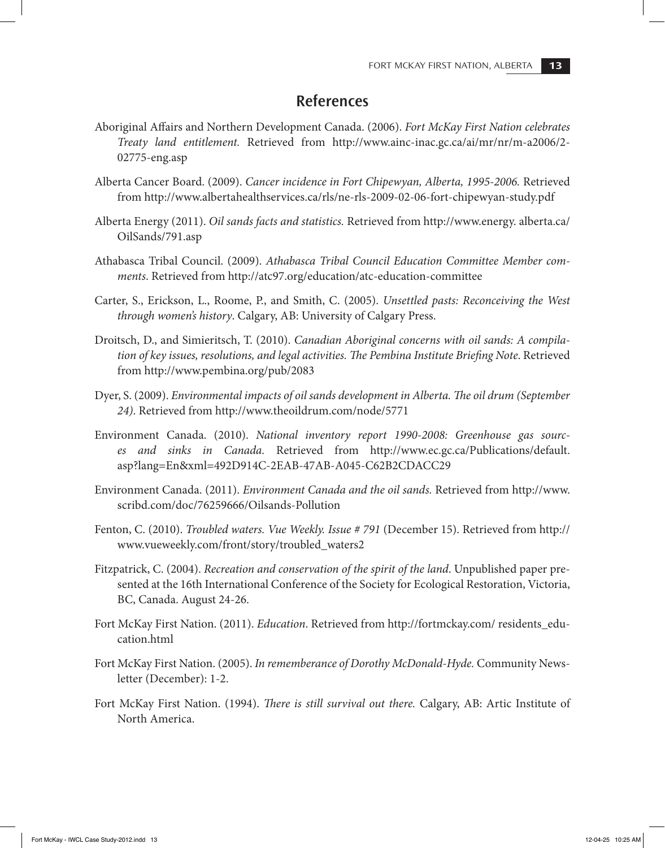## **References**

- Aboriginal Affairs and Northern Development Canada. (2006). *Fort McKay First Nation celebrates Treaty land entitlement.* Retrieved from http://www.ainc-inac.gc.ca/ai/mr/nr/m-a2006/2- 02775-eng.asp
- Alberta Cancer Board. (2009). *Cancer incidence in Fort Chipewyan, Alberta, 1995-2006.* Retrieved from http://www.albertahealthservices.ca/rls/ne-rls-2009-02-06-fort-chipewyan-study.pdf
- Alberta Energy (2011). *Oil sands facts and statistics.* Retrieved from http://www.energy. alberta.ca/ OilSands/791.asp
- Athabasca Tribal Council. (2009). *Athabasca Tribal Council Education Committee Member comments*. Retrieved from http://atc97.org/education/atc-education-committee
- Carter, S., Erickson, L., Roome, P., and Smith, C. (2005). *Unsettled pasts: Reconceiving the West through women's history*. Calgary, AB: University of Calgary Press.
- Droitsch, D., and Simieritsch, T. (2010). *Canadian Aboriginal concerns with oil sands: A compilation of key issues, resolutions, and legal activities. The Pembina Institute Briefing Note*. Retrieved from http://www.pembina.org/pub/2083
- Dyer, S. (2009). *Environmental impacts of oil sands development in Alberta. The oil drum (September 24)*. Retrieved from http://www.theoildrum.com/node/5771
- Environment Canada. (2010). *National inventory report 1990-2008: Greenhouse gas sources and sinks in Canada.* Retrieved from http://www.ec.gc.ca/Publications/default. asp?lang=En&xml=492D914C-2EAB-47AB-A045-C62B2CDACC29
- Environment Canada. (2011). *Environment Canada and the oil sands.* Retrieved from http://www. scribd.com/doc/76259666/Oilsands-Pollution
- Fenton, C. (2010). *Troubled waters. Vue Weekly. Issue # 791* (December 15). Retrieved from http:// www.vueweekly.com/front/story/troubled\_waters2
- Fitzpatrick, C. (2004). *Recreation and conservation of the spirit of the land*. Unpublished paper presented at the 16th International Conference of the Society for Ecological Restoration, Victoria, BC, Canada. August 24-26.
- Fort McKay First Nation. (2011). *Education*. Retrieved from http://fortmckay.com/ residents\_education.html
- Fort McKay First Nation. (2005). *In rememberance of Dorothy McDonald-Hyde.* Community Newsletter (December): 1-2.
- Fort McKay First Nation. (1994). *There is still survival out there.* Calgary, AB: Artic Institute of North America.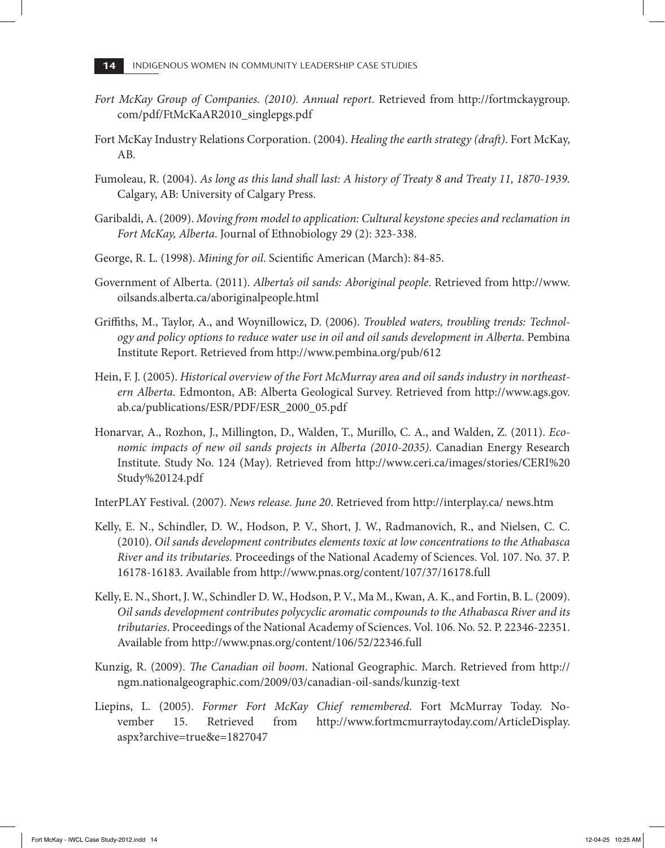- *Fort McKay Group of Companies. (2010). Annual report*. Retrieved from http://fortmckaygroup. com/pdf/FtMcKaAR2010\_singlepgs.pdf
- Fort McKay Industry Relations Corporation. (2004). *Healing the earth strategy (draft)*. Fort McKay, AB.
- Fumoleau, R. (2004). *As long as this land shall last: A history of Treaty 8 and Treaty 11, 1870-1939.*  Calgary, AB: University of Calgary Press.
- Garibaldi, A. (2009). *Moving from model to application: Cultural keystone species and reclamation in Fort McKay, Alberta*. Journal of Ethnobiology 29 (2): 323-338.
- George, R. L. (1998). *Mining for oil*. Scientific American (March): 84-85.
- Government of Alberta. (2011). *Alberta's oil sands: Aboriginal people*. Retrieved from http://www. oilsands.alberta.ca/aboriginalpeople.html
- Griffiths, M., Taylor, A., and Woynillowicz, D. (2006). *Troubled waters, troubling trends: Technology and policy options to reduce water use in oil and oil sands development in Alberta*. Pembina Institute Report. Retrieved from http://www.pembina.org/pub/612
- Hein, F. J. (2005). *Historical overview of the Fort McMurray area and oil sands industry in northeastern Alberta*. Edmonton, AB: Alberta Geological Survey. Retrieved from http://www.ags.gov. ab.ca/publications/ESR/PDF/ESR\_2000\_05.pdf
- Honarvar, A., Rozhon, J., Millington, D., Walden, T., Murillo, C. A., and Walden, Z. (2011). *Economic impacts of new oil sands projects in Alberta (2010-2035)*. Canadian Energy Research Institute. Study No. 124 (May). Retrieved from http://www.ceri.ca/images/stories/CERI%20 Study%20124.pdf
- InterPLAY Festival. (2007). *News release. June 20*. Retrieved from http://interplay.ca/ news.htm
- Kelly, E. N., Schindler, D. W., Hodson, P. V., Short, J. W., Radmanovich, R., and Nielsen, C. C. (2010). *Oil sands development contributes elements toxic at low concentrations to the Athabasca River and its tributaries.* Proceedings of the National Academy of Sciences. Vol. 107. No. 37. P. 16178-16183. Available from http://www.pnas.org/content/107/37/16178.full
- Kelly, E. N., Short, J. W., Schindler D. W., Hodson, P. V., Ma M., Kwan, A. K., and Fortin, B. L. (2009). *Oil sands development contributes polycyclic aromatic compounds to the Athabasca River and its tributaries*. Proceedings of the National Academy of Sciences. Vol. 106. No. 52. P. 22346-22351. Available from http://www.pnas.org/content/106/52/22346.full
- Kunzig, R. (2009). *The Canadian oil boom*. National Geographic. March. Retrieved from http:// ngm.nationalgeographic.com/2009/03/canadian-oil-sands/kunzig-text
- Liepins, L. (2005). *Former Fort McKay Chief remembered*. Fort McMurray Today. November 15. Retrieved from http://www.fortmcmurraytoday.com/ArticleDisplay. aspx?archive=true&e=1827047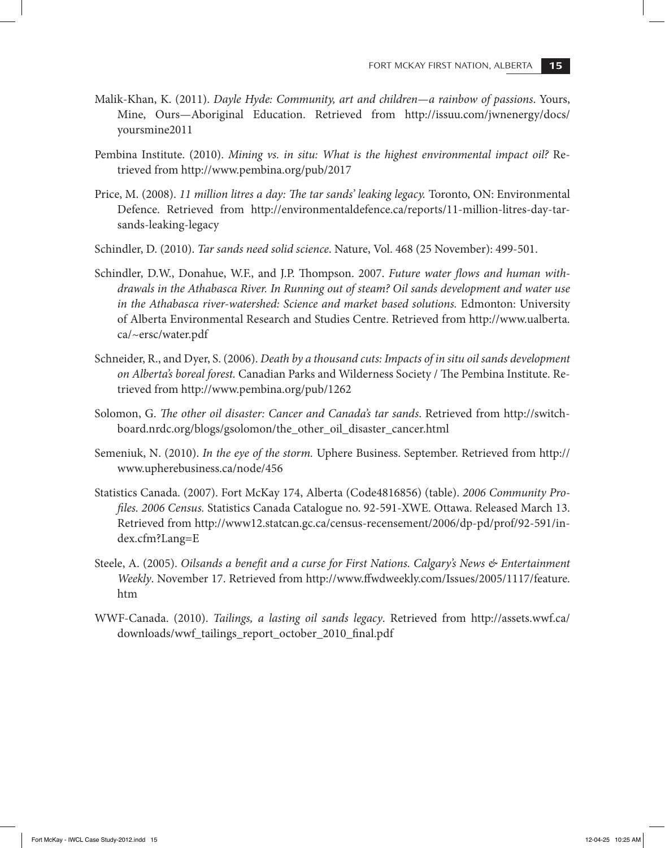- Malik-Khan, K. (2011). *Dayle Hyde: Community, art and children—a rainbow of passions*. Yours, Mine, Ours—Aboriginal Education. Retrieved from http://issuu.com/jwnenergy/docs/ yoursmine2011
- Pembina Institute. (2010). *Mining vs. in situ: What is the highest environmental impact oil?* Retrieved from http://www.pembina.org/pub/2017
- Price, M. (2008). *11 million litres a day: The tar sands' leaking legacy.* Toronto, ON: Environmental Defence. Retrieved from http://environmentaldefence.ca/reports/11-million-litres-day-tarsands-leaking-legacy
- Schindler, D. (2010). *Tar sands need solid science*. Nature, Vol. 468 (25 November): 499-501.
- Schindler, D.W., Donahue, W.F., and J.P. Thompson. 2007. *Future water flows and human withdrawals in the Athabasca River. In Running out of steam? Oil sands development and water use in the Athabasca river-watershed: Science and market based solutions.* Edmonton: University of Alberta Environmental Research and Studies Centre. Retrieved from http://www.ualberta. ca/~ersc/water.pdf
- Schneider, R., and Dyer, S. (2006). *Death by a thousand cuts: Impacts of in situ oil sands development on Alberta's boreal forest.* Canadian Parks and Wilderness Society / The Pembina Institute. Retrieved from http://www.pembina.org/pub/1262
- Solomon, G. *The other oil disaster: Cancer and Canada's tar sands*. Retrieved from http://switchboard.nrdc.org/blogs/gsolomon/the\_other\_oil\_disaster\_cancer.html
- Semeniuk, N. (2010). *In the eye of the storm.* Uphere Business. September. Retrieved from http:// www.upherebusiness.ca/node/456
- Statistics Canada. (2007). Fort McKay 174, Alberta (Code4816856) (table). *2006 Community Profiles. 2006 Census.* Statistics Canada Catalogue no. 92-591-XWE. Ottawa. Released March 13. Retrieved from http://www12.statcan.gc.ca/census-recensement/2006/dp-pd/prof/92-591/index.cfm?Lang=E
- Steele, A. (2005). *Oilsands a benefit and a curse for First Nations. Calgary's News & Entertainment Weekly*. November 17. Retrieved from http://www.ffwdweekly.com/Issues/2005/1117/feature. htm
- WWF-Canada. (2010). *Tailings, a lasting oil sands legacy*. Retrieved from http://assets.wwf.ca/ downloads/wwf\_tailings\_report\_october\_2010\_final.pdf